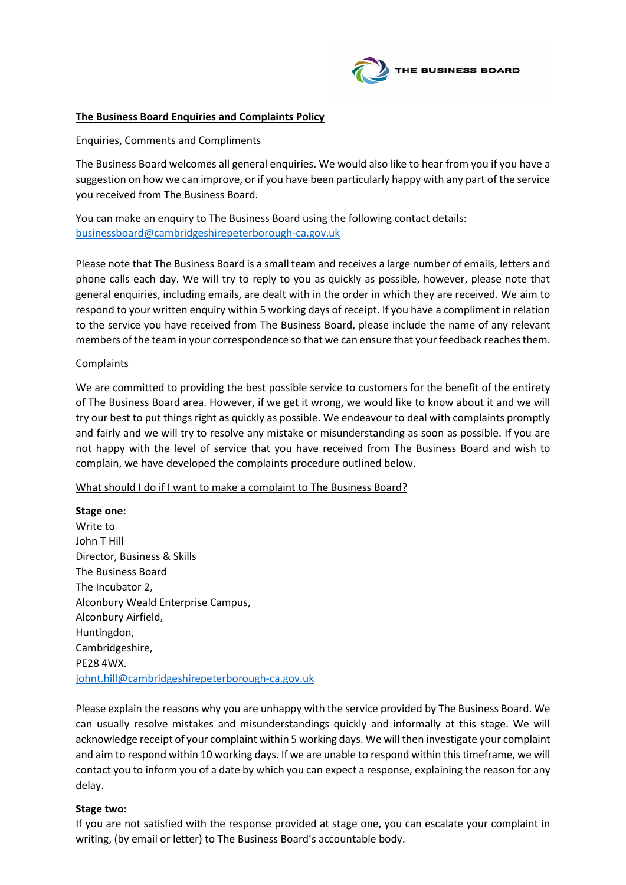

## **The Business Board Enquiries and Complaints Policy**

#### Enquiries, Comments and Compliments

The Business Board welcomes all general enquiries. We would also like to hear from you if you have a suggestion on how we can improve, or if you have been particularly happy with any part of the service you received from The Business Board.

You can make an enquiry to The Business Board using the following contact details: [businessboard@cambridgeshirepeterborough-ca.gov.uk](mailto:businessboard@cambridgeshirepeterborough-ca.gov.uk)

Please note that The Business Board is a small team and receives a large number of emails, letters and phone calls each day. We will try to reply to you as quickly as possible, however, please note that general enquiries, including emails, are dealt with in the order in which they are received. We aim to respond to your written enquiry within 5 working days of receipt. If you have a compliment in relation to the service you have received from The Business Board, please include the name of any relevant members of the team in your correspondence so that we can ensure that your feedback reaches them.

#### **Complaints**

We are committed to providing the best possible service to customers for the benefit of the entirety of The Business Board area. However, if we get it wrong, we would like to know about it and we will try our best to put things right as quickly as possible. We endeavour to deal with complaints promptly and fairly and we will try to resolve any mistake or misunderstanding as soon as possible. If you are not happy with the level of service that you have received from The Business Board and wish to complain, we have developed the complaints procedure outlined below.

### What should I do if I want to make a complaint to The Business Board?

**Stage one:** Write to John T Hill Director, Business & Skills The Business Board The Incubator 2, Alconbury Weald Enterprise Campus, Alconbury Airfield, Huntingdon, Cambridgeshire, PE28 4WX. [johnt.hill@cambridgeshirepeterborough-ca.gov.uk](mailto:johnt.hill@cambridgeshirepeterborough-ca.gov.uk)

Please explain the reasons why you are unhappy with the service provided by The Business Board. We can usually resolve mistakes and misunderstandings quickly and informally at this stage. We will acknowledge receipt of your complaint within 5 working days. We will then investigate your complaint and aim to respond within 10 working days. If we are unable to respond within this timeframe, we will contact you to inform you of a date by which you can expect a response, explaining the reason for any delay.

### **Stage two:**

If you are not satisfied with the response provided at stage one, you can escalate your complaint in writing, (by email or letter) to The Business Board's accountable body.